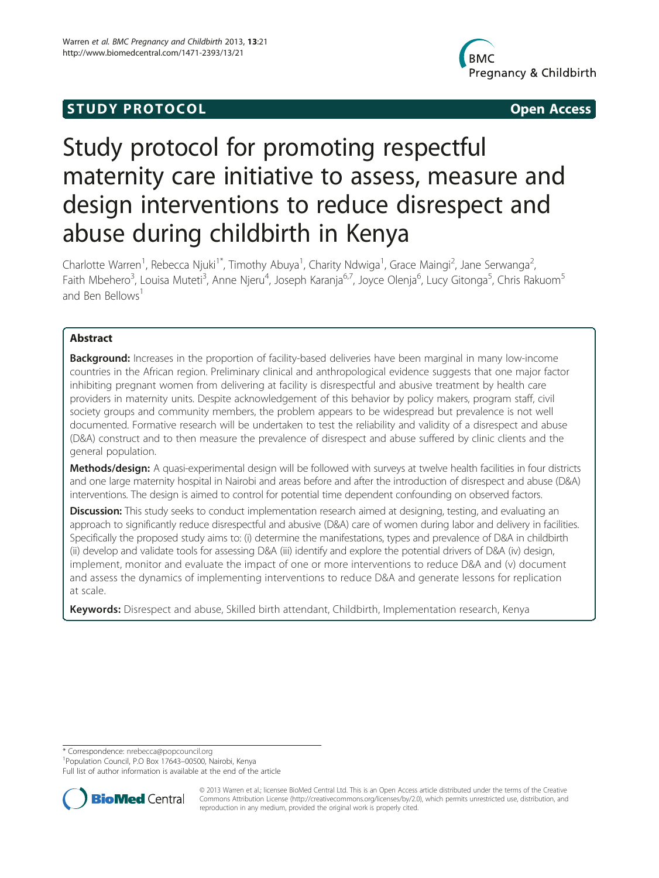## **STUDY PROTOCOL CONSUMING THE CONSUMING OPEN ACCESS**



# Study protocol for promoting respectful maternity care initiative to assess, measure and design interventions to reduce disrespect and abuse during childbirth in Kenya

Charlotte Warren<sup>1</sup>, Rebecca Njuki<sup>1\*</sup>, Timothy Abuya<sup>1</sup>, Charity Ndwiga<sup>1</sup>, Grace Maingi<sup>2</sup>, Jane Serwanga<sup>2</sup> , Faith Mbehero<sup>3</sup>, Louisa Muteti<sup>3</sup>, Anne Njeru<sup>4</sup>, Joseph Karanja<sup>6,7</sup>, Joyce Olenja<sup>6</sup>, Lucy Gitonga<sup>5</sup>, Chris Rakuom<sup>5</sup> and Ben Bellows<sup>1</sup>

## Abstract

**Background:** Increases in the proportion of facility-based deliveries have been marginal in many low-income countries in the African region. Preliminary clinical and anthropological evidence suggests that one major factor inhibiting pregnant women from delivering at facility is disrespectful and abusive treatment by health care providers in maternity units. Despite acknowledgement of this behavior by policy makers, program staff, civil society groups and community members, the problem appears to be widespread but prevalence is not well documented. Formative research will be undertaken to test the reliability and validity of a disrespect and abuse (D&A) construct and to then measure the prevalence of disrespect and abuse suffered by clinic clients and the general population.

Methods/design: A quasi-experimental design will be followed with surveys at twelve health facilities in four districts and one large maternity hospital in Nairobi and areas before and after the introduction of disrespect and abuse (D&A) interventions. The design is aimed to control for potential time dependent confounding on observed factors.

Discussion: This study seeks to conduct implementation research aimed at designing, testing, and evaluating an approach to significantly reduce disrespectful and abusive (D&A) care of women during labor and delivery in facilities. Specifically the proposed study aims to: (i) determine the manifestations, types and prevalence of D&A in childbirth (ii) develop and validate tools for assessing D&A (iii) identify and explore the potential drivers of D&A (iv) design, implement, monitor and evaluate the impact of one or more interventions to reduce D&A and (v) document and assess the dynamics of implementing interventions to reduce D&A and generate lessons for replication at scale.

Keywords: Disrespect and abuse, Skilled birth attendant, Childbirth, Implementation research, Kenya

\* Correspondence: [nrebecca@popcouncil.org](mailto:nrebecca@popcouncil.org) <sup>1</sup>

<sup>1</sup>Population Council, P.O Box 17643-00500, Nairobi, Kenya

Full list of author information is available at the end of the article



© 2013 Warren et al.; licensee BioMed Central Ltd. This is an Open Access article distributed under the terms of the Creative Commons Attribution License [\(http://creativecommons.org/licenses/by/2.0\)](http://creativecommons.org/licenses/by/2.0), which permits unrestricted use, distribution, and reproduction in any medium, provided the original work is properly cited.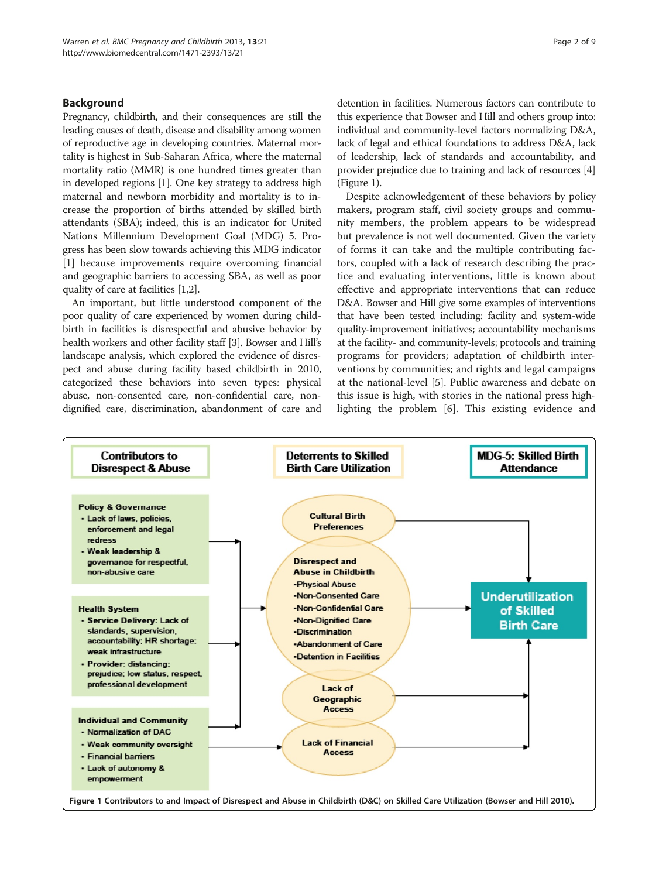## Background

Pregnancy, childbirth, and their consequences are still the leading causes of death, disease and disability among women of reproductive age in developing countries. Maternal mortality is highest in Sub-Saharan Africa, where the maternal mortality ratio (MMR) is one hundred times greater than in developed regions [[1\]](#page-8-0). One key strategy to address high maternal and newborn morbidity and mortality is to increase the proportion of births attended by skilled birth attendants (SBA); indeed, this is an indicator for United Nations Millennium Development Goal (MDG) 5. Progress has been slow towards achieving this MDG indicator [[1\]](#page-8-0) because improvements require overcoming financial and geographic barriers to accessing SBA, as well as poor quality of care at facilities [[1,2](#page-8-0)].

An important, but little understood component of the poor quality of care experienced by women during childbirth in facilities is disrespectful and abusive behavior by health workers and other facility staff [\[3](#page-8-0)]. Bowser and Hill's landscape analysis, which explored the evidence of disrespect and abuse during facility based childbirth in 2010, categorized these behaviors into seven types: physical abuse, non-consented care, non-confidential care, nondignified care, discrimination, abandonment of care and

detention in facilities. Numerous factors can contribute to this experience that Bowser and Hill and others group into: individual and community-level factors normalizing D&A, lack of legal and ethical foundations to address D&A, lack of leadership, lack of standards and accountability, and provider prejudice due to training and lack of resources [[4](#page-8-0)] (Figure 1).

Despite acknowledgement of these behaviors by policy makers, program staff, civil society groups and community members, the problem appears to be widespread but prevalence is not well documented. Given the variety of forms it can take and the multiple contributing factors, coupled with a lack of research describing the practice and evaluating interventions, little is known about effective and appropriate interventions that can reduce D&A. Bowser and Hill give some examples of interventions that have been tested including: facility and system-wide quality-improvement initiatives; accountability mechanisms at the facility- and community-levels; protocols and training programs for providers; adaptation of childbirth interventions by communities; and rights and legal campaigns at the national-level [\[5](#page-8-0)]. Public awareness and debate on this issue is high, with stories in the national press highlighting the problem [\[6](#page-8-0)]. This existing evidence and

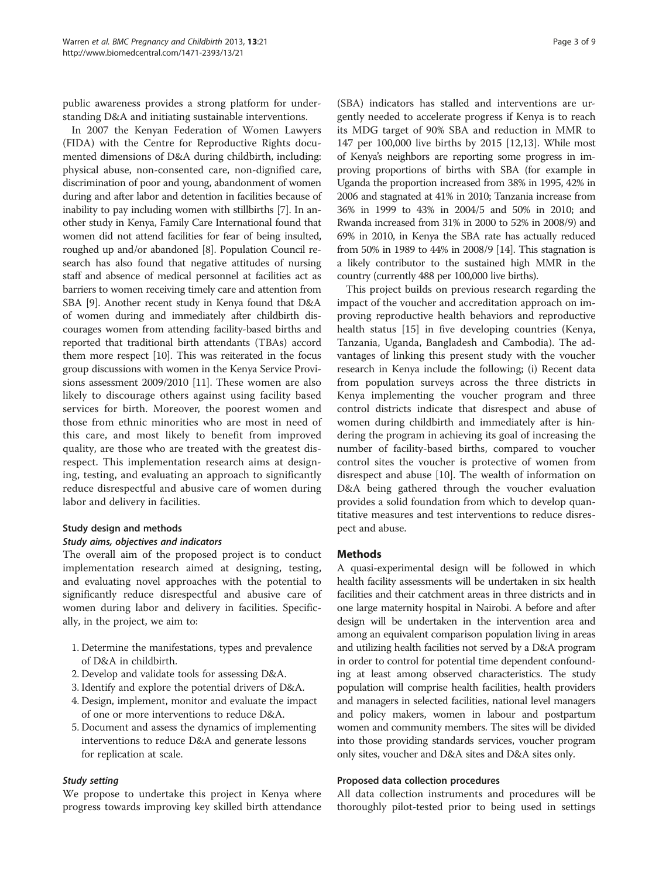public awareness provides a strong platform for understanding D&A and initiating sustainable interventions.

In 2007 the Kenyan Federation of Women Lawyers (FIDA) with the Centre for Reproductive Rights documented dimensions of D&A during childbirth, including: physical abuse, non-consented care, non-dignified care, discrimination of poor and young, abandonment of women during and after labor and detention in facilities because of inability to pay including women with stillbirths [\[7](#page-8-0)]. In another study in Kenya, Family Care International found that women did not attend facilities for fear of being insulted, roughed up and/or abandoned [[8](#page-8-0)]. Population Council research has also found that negative attitudes of nursing staff and absence of medical personnel at facilities act as barriers to women receiving timely care and attention from SBA [[9](#page-8-0)]. Another recent study in Kenya found that D&A of women during and immediately after childbirth discourages women from attending facility-based births and reported that traditional birth attendants (TBAs) accord them more respect [\[10\]](#page-8-0). This was reiterated in the focus group discussions with women in the Kenya Service Provisions assessment 2009/2010 [\[11\]](#page-8-0). These women are also likely to discourage others against using facility based services for birth. Moreover, the poorest women and those from ethnic minorities who are most in need of this care, and most likely to benefit from improved quality, are those who are treated with the greatest disrespect. This implementation research aims at designing, testing, and evaluating an approach to significantly reduce disrespectful and abusive care of women during labor and delivery in facilities.

## Study design and methods

#### Study aims, objectives and indicators

The overall aim of the proposed project is to conduct implementation research aimed at designing, testing, and evaluating novel approaches with the potential to significantly reduce disrespectful and abusive care of women during labor and delivery in facilities. Specifically, in the project, we aim to:

- 1. Determine the manifestations, types and prevalence of D&A in childbirth.
- 2. Develop and validate tools for assessing D&A.
- 3. Identify and explore the potential drivers of D&A.
- 4. Design, implement, monitor and evaluate the impact of one or more interventions to reduce D&A.
- 5. Document and assess the dynamics of implementing interventions to reduce D&A and generate lessons for replication at scale.

#### Study setting

We propose to undertake this project in Kenya where progress towards improving key skilled birth attendance

(SBA) indicators has stalled and interventions are urgently needed to accelerate progress if Kenya is to reach its MDG target of 90% SBA and reduction in MMR to 147 per 100,000 live births by 2015 [[12,13\]](#page-8-0). While most of Kenya's neighbors are reporting some progress in improving proportions of births with SBA (for example in Uganda the proportion increased from 38% in 1995, 42% in 2006 and stagnated at 41% in 2010; Tanzania increase from 36% in 1999 to 43% in 2004/5 and 50% in 2010; and Rwanda increased from 31% in 2000 to 52% in 2008/9) and 69% in 2010, in Kenya the SBA rate has actually reduced from 50% in 1989 to 44% in 2008/9 [[14](#page-8-0)]. This stagnation is a likely contributor to the sustained high MMR in the country (currently 488 per 100,000 live births).

This project builds on previous research regarding the impact of the voucher and accreditation approach on improving reproductive health behaviors and reproductive health status [\[15](#page-8-0)] in five developing countries (Kenya, Tanzania, Uganda, Bangladesh and Cambodia). The advantages of linking this present study with the voucher research in Kenya include the following; (i) Recent data from population surveys across the three districts in Kenya implementing the voucher program and three control districts indicate that disrespect and abuse of women during childbirth and immediately after is hindering the program in achieving its goal of increasing the number of facility-based births, compared to voucher control sites the voucher is protective of women from disrespect and abuse [[10\]](#page-8-0). The wealth of information on D&A being gathered through the voucher evaluation provides a solid foundation from which to develop quantitative measures and test interventions to reduce disrespect and abuse.

#### Methods

A quasi-experimental design will be followed in which health facility assessments will be undertaken in six health facilities and their catchment areas in three districts and in one large maternity hospital in Nairobi. A before and after design will be undertaken in the intervention area and among an equivalent comparison population living in areas and utilizing health facilities not served by a D&A program in order to control for potential time dependent confounding at least among observed characteristics. The study population will comprise health facilities, health providers and managers in selected facilities, national level managers and policy makers, women in labour and postpartum women and community members. The sites will be divided into those providing standards services, voucher program only sites, voucher and D&A sites and D&A sites only.

#### Proposed data collection procedures

All data collection instruments and procedures will be thoroughly pilot-tested prior to being used in settings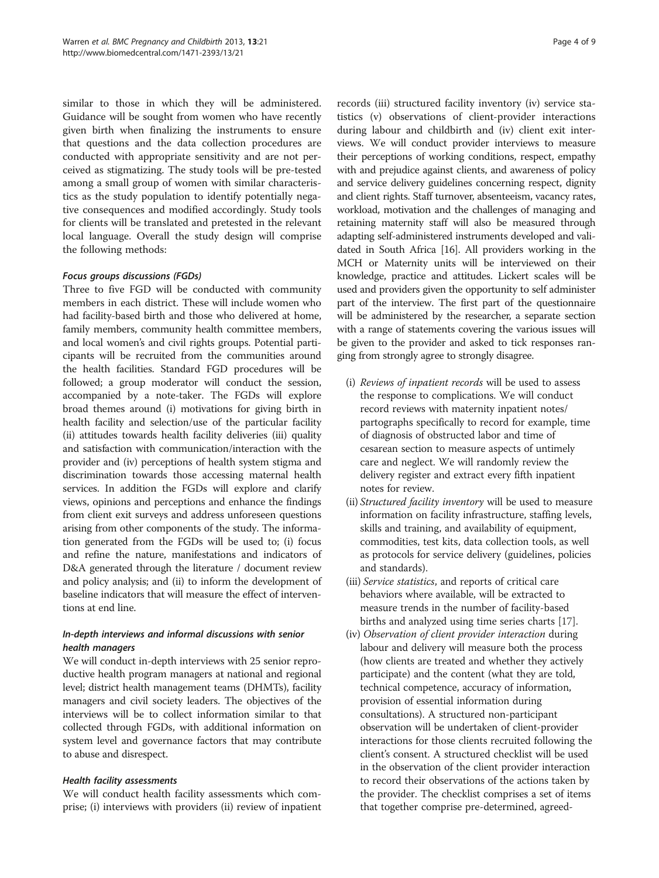similar to those in which they will be administered. Guidance will be sought from women who have recently given birth when finalizing the instruments to ensure that questions and the data collection procedures are conducted with appropriate sensitivity and are not perceived as stigmatizing. The study tools will be pre-tested among a small group of women with similar characteristics as the study population to identify potentially negative consequences and modified accordingly. Study tools for clients will be translated and pretested in the relevant local language. Overall the study design will comprise the following methods:

## Focus groups discussions (FGDs)

Three to five FGD will be conducted with community members in each district. These will include women who had facility-based birth and those who delivered at home, family members, community health committee members, and local women's and civil rights groups. Potential participants will be recruited from the communities around the health facilities. Standard FGD procedures will be followed; a group moderator will conduct the session, accompanied by a note-taker. The FGDs will explore broad themes around (i) motivations for giving birth in health facility and selection/use of the particular facility (ii) attitudes towards health facility deliveries (iii) quality and satisfaction with communication/interaction with the provider and (iv) perceptions of health system stigma and discrimination towards those accessing maternal health services. In addition the FGDs will explore and clarify views, opinions and perceptions and enhance the findings from client exit surveys and address unforeseen questions arising from other components of the study. The information generated from the FGDs will be used to; (i) focus and refine the nature, manifestations and indicators of D&A generated through the literature / document review and policy analysis; and (ii) to inform the development of baseline indicators that will measure the effect of interventions at end line.

## In-depth interviews and informal discussions with senior health managers

We will conduct in-depth interviews with 25 senior reproductive health program managers at national and regional level; district health management teams (DHMTs), facility managers and civil society leaders. The objectives of the interviews will be to collect information similar to that collected through FGDs, with additional information on system level and governance factors that may contribute to abuse and disrespect.

## Health facility assessments

We will conduct health facility assessments which comprise; (i) interviews with providers (ii) review of inpatient

records (iii) structured facility inventory (iv) service statistics (v) observations of client-provider interactions during labour and childbirth and (iv) client exit interviews. We will conduct provider interviews to measure their perceptions of working conditions, respect, empathy with and prejudice against clients, and awareness of policy and service delivery guidelines concerning respect, dignity and client rights. Staff turnover, absenteeism, vacancy rates, workload, motivation and the challenges of managing and retaining maternity staff will also be measured through adapting self-administered instruments developed and validated in South Africa [\[16](#page-8-0)]. All providers working in the MCH or Maternity units will be interviewed on their knowledge, practice and attitudes. Lickert scales will be used and providers given the opportunity to self administer part of the interview. The first part of the questionnaire will be administered by the researcher, a separate section with a range of statements covering the various issues will be given to the provider and asked to tick responses ranging from strongly agree to strongly disagree.

- (i) Reviews of inpatient records will be used to assess the response to complications. We will conduct record reviews with maternity inpatient notes/ partographs specifically to record for example, time of diagnosis of obstructed labor and time of cesarean section to measure aspects of untimely care and neglect. We will randomly review the delivery register and extract every fifth inpatient notes for review.
- (ii) Structured facility inventory will be used to measure information on facility infrastructure, staffing levels, skills and training, and availability of equipment, commodities, test kits, data collection tools, as well as protocols for service delivery (guidelines, policies and standards).
- (iii) Service statistics, and reports of critical care behaviors where available, will be extracted to measure trends in the number of facility-based births and analyzed using time series charts [[17](#page-8-0)].
- (iv) Observation of client provider interaction during labour and delivery will measure both the process (how clients are treated and whether they actively participate) and the content (what they are told, technical competence, accuracy of information, provision of essential information during consultations). A structured non-participant observation will be undertaken of client-provider interactions for those clients recruited following the client's consent. A structured checklist will be used in the observation of the client provider interaction to record their observations of the actions taken by the provider. The checklist comprises a set of items that together comprise pre-determined, agreed-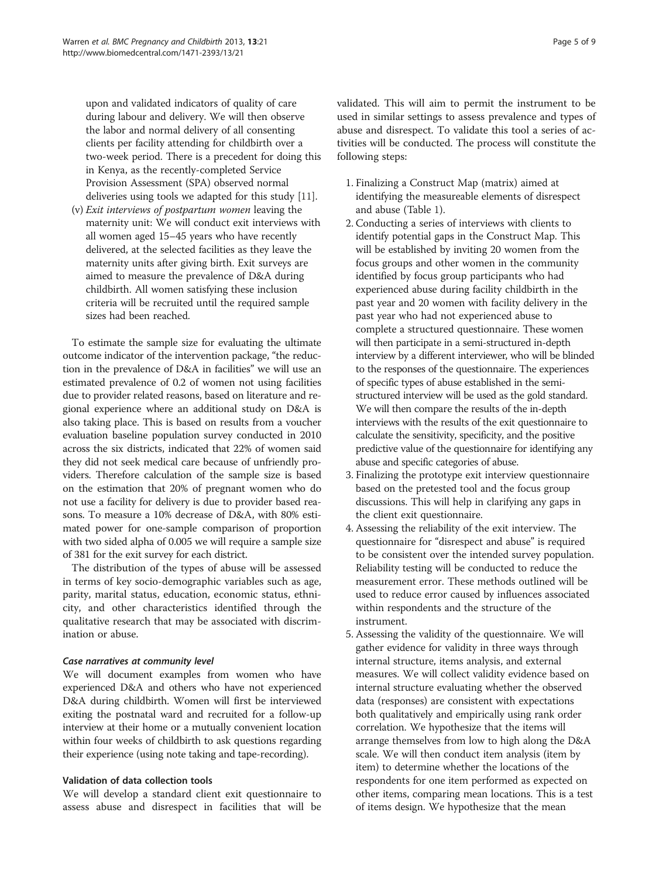upon and validated indicators of quality of care during labour and delivery. We will then observe the labor and normal delivery of all consenting clients per facility attending for childbirth over a two-week period. There is a precedent for doing this in Kenya, as the recently-completed Service Provision Assessment (SPA) observed normal deliveries using tools we adapted for this study [\[11\]](#page-8-0).

(v) Exit interviews of postpartum women leaving the maternity unit: We will conduct exit interviews with all women aged 15–45 years who have recently delivered, at the selected facilities as they leave the maternity units after giving birth. Exit surveys are aimed to measure the prevalence of D&A during childbirth. All women satisfying these inclusion criteria will be recruited until the required sample sizes had been reached.

To estimate the sample size for evaluating the ultimate outcome indicator of the intervention package, "the reduction in the prevalence of D&A in facilities" we will use an estimated prevalence of 0.2 of women not using facilities due to provider related reasons, based on literature and regional experience where an additional study on D&A is also taking place. This is based on results from a voucher evaluation baseline population survey conducted in 2010 across the six districts, indicated that 22% of women said they did not seek medical care because of unfriendly providers. Therefore calculation of the sample size is based on the estimation that 20% of pregnant women who do not use a facility for delivery is due to provider based reasons. To measure a 10% decrease of D&A, with 80% estimated power for one-sample comparison of proportion with two sided alpha of 0.005 we will require a sample size of 381 for the exit survey for each district.

The distribution of the types of abuse will be assessed in terms of key socio-demographic variables such as age, parity, marital status, education, economic status, ethnicity, and other characteristics identified through the qualitative research that may be associated with discrimination or abuse.

## Case narratives at community level

We will document examples from women who have experienced D&A and others who have not experienced D&A during childbirth. Women will first be interviewed exiting the postnatal ward and recruited for a follow-up interview at their home or a mutually convenient location within four weeks of childbirth to ask questions regarding their experience (using note taking and tape-recording).

#### Validation of data collection tools

We will develop a standard client exit questionnaire to assess abuse and disrespect in facilities that will be validated. This will aim to permit the instrument to be used in similar settings to assess prevalence and types of abuse and disrespect. To validate this tool a series of activities will be conducted. The process will constitute the following steps:

- 1. Finalizing a Construct Map (matrix) aimed at identifying the measureable elements of disrespect and abuse (Table [1](#page-5-0)).
- 2. Conducting a series of interviews with clients to identify potential gaps in the Construct Map. This will be established by inviting 20 women from the focus groups and other women in the community identified by focus group participants who had experienced abuse during facility childbirth in the past year and 20 women with facility delivery in the past year who had not experienced abuse to complete a structured questionnaire. These women will then participate in a semi-structured in-depth interview by a different interviewer, who will be blinded to the responses of the questionnaire. The experiences of specific types of abuse established in the semistructured interview will be used as the gold standard. We will then compare the results of the in-depth interviews with the results of the exit questionnaire to calculate the sensitivity, specificity, and the positive predictive value of the questionnaire for identifying any abuse and specific categories of abuse.
- 3. Finalizing the prototype exit interview questionnaire based on the pretested tool and the focus group discussions. This will help in clarifying any gaps in the client exit questionnaire.
- 4. Assessing the reliability of the exit interview. The questionnaire for "disrespect and abuse" is required to be consistent over the intended survey population. Reliability testing will be conducted to reduce the measurement error. These methods outlined will be used to reduce error caused by influences associated within respondents and the structure of the instrument.
- 5. Assessing the validity of the questionnaire. We will gather evidence for validity in three ways through internal structure, items analysis, and external measures. We will collect validity evidence based on internal structure evaluating whether the observed data (responses) are consistent with expectations both qualitatively and empirically using rank order correlation. We hypothesize that the items will arrange themselves from low to high along the D&A scale. We will then conduct item analysis (item by item) to determine whether the locations of the respondents for one item performed as expected on other items, comparing mean locations. This is a test of items design. We hypothesize that the mean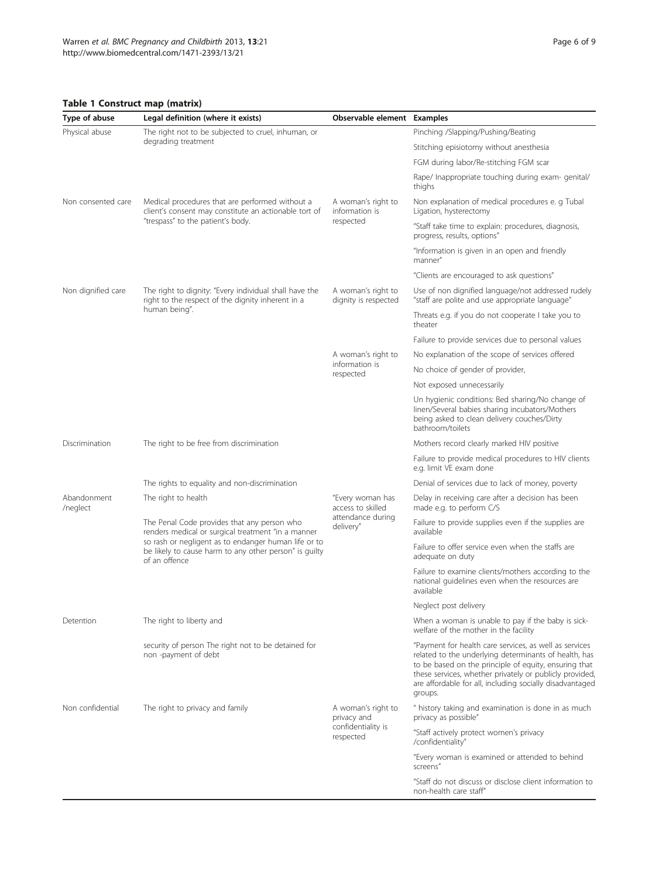## <span id="page-5-0"></span>Table 1 Construct map (matrix)

| Type of abuse           | Legal definition (where it exists)                                                                                                                                                                                                   | Observable element Examples                                             |                                                                                                                                                                                                                                                                                                            |
|-------------------------|--------------------------------------------------------------------------------------------------------------------------------------------------------------------------------------------------------------------------------------|-------------------------------------------------------------------------|------------------------------------------------------------------------------------------------------------------------------------------------------------------------------------------------------------------------------------------------------------------------------------------------------------|
| Physical abuse          | The right not to be subjected to cruel, inhuman, or<br>degrading treatment                                                                                                                                                           |                                                                         | Pinching /Slapping/Pushing/Beating                                                                                                                                                                                                                                                                         |
|                         |                                                                                                                                                                                                                                      |                                                                         | Stitching episiotomy without anesthesia                                                                                                                                                                                                                                                                    |
|                         |                                                                                                                                                                                                                                      |                                                                         | FGM during labor/Re-stitching FGM scar                                                                                                                                                                                                                                                                     |
|                         |                                                                                                                                                                                                                                      |                                                                         | Rape/ Inappropriate touching during exam- genital/<br>thighs                                                                                                                                                                                                                                               |
| Non consented care      | Medical procedures that are performed without a<br>client's consent may constitute an actionable tort of<br>"trespass" to the patient's body.                                                                                        | A woman's right to<br>information is<br>respected                       | Non explanation of medical procedures e. g Tubal<br>Ligation, hysterectomy                                                                                                                                                                                                                                 |
|                         |                                                                                                                                                                                                                                      |                                                                         | "Staff take time to explain: procedures, diagnosis,<br>progress, results, options"                                                                                                                                                                                                                         |
|                         |                                                                                                                                                                                                                                      |                                                                         | "Information is given in an open and friendly<br>manner"                                                                                                                                                                                                                                                   |
|                         |                                                                                                                                                                                                                                      |                                                                         | "Clients are encouraged to ask questions"                                                                                                                                                                                                                                                                  |
| Non dignified care      | The right to dignity: "Every individual shall have the<br>right to the respect of the dignity inherent in a<br>human being".                                                                                                         | A woman's right to<br>dignity is respected                              | Use of non dignified language/not addressed rudely<br>"staff are polite and use appropriate language"                                                                                                                                                                                                      |
|                         |                                                                                                                                                                                                                                      |                                                                         | Threats e.g. if you do not cooperate I take you to<br>theater                                                                                                                                                                                                                                              |
|                         |                                                                                                                                                                                                                                      |                                                                         | Failure to provide services due to personal values                                                                                                                                                                                                                                                         |
|                         |                                                                                                                                                                                                                                      | A woman's right to                                                      | No explanation of the scope of services offered                                                                                                                                                                                                                                                            |
|                         |                                                                                                                                                                                                                                      | information is<br>respected                                             | No choice of gender of provider,                                                                                                                                                                                                                                                                           |
|                         |                                                                                                                                                                                                                                      |                                                                         | Not exposed unnecessarily                                                                                                                                                                                                                                                                                  |
|                         |                                                                                                                                                                                                                                      |                                                                         | Un hygienic conditions: Bed sharing/No change of<br>linen/Several babies sharing incubators/Mothers<br>being asked to clean delivery couches/Dirty<br>bathroom/toilets                                                                                                                                     |
| Discrimination          | The right to be free from discrimination                                                                                                                                                                                             |                                                                         | Mothers record clearly marked HIV positive                                                                                                                                                                                                                                                                 |
|                         |                                                                                                                                                                                                                                      |                                                                         | Failure to provide medical procedures to HIV clients<br>e.g. limit VE exam done                                                                                                                                                                                                                            |
|                         | The rights to equality and non-discrimination                                                                                                                                                                                        |                                                                         | Denial of services due to lack of money, poverty                                                                                                                                                                                                                                                           |
| Abandonment<br>/neglect | The right to health                                                                                                                                                                                                                  | "Every woman has<br>access to skilled<br>attendance during<br>delivery" | Delay in receiving care after a decision has been<br>made e.g. to perform C/S                                                                                                                                                                                                                              |
|                         | The Penal Code provides that any person who<br>renders medical or surgical treatment "in a manner<br>so rash or negligent as to endanger human life or to<br>be likely to cause harm to any other person" is guilty<br>of an offence |                                                                         | Failure to provide supplies even if the supplies are<br>available                                                                                                                                                                                                                                          |
|                         |                                                                                                                                                                                                                                      |                                                                         | Failure to offer service even when the staffs are<br>adequate on duty                                                                                                                                                                                                                                      |
|                         |                                                                                                                                                                                                                                      |                                                                         | Failure to examine clients/mothers according to the<br>national guidelines even when the resources are<br>available                                                                                                                                                                                        |
|                         |                                                                                                                                                                                                                                      |                                                                         | Neglect post delivery                                                                                                                                                                                                                                                                                      |
| Detention               | The right to liberty and                                                                                                                                                                                                             |                                                                         | When a woman is unable to pay if the baby is sick-<br>welfare of the mother in the facility                                                                                                                                                                                                                |
|                         | security of person The right not to be detained for<br>non-payment of debt                                                                                                                                                           |                                                                         | "Payment for health care services, as well as services<br>related to the underlying determinants of health, has<br>to be based on the principle of equity, ensuring that<br>these services, whether privately or publicly provided,<br>are affordable for all, including socially disadvantaged<br>groups. |
| Non confidential        | The right to privacy and family                                                                                                                                                                                                      | A woman's right to<br>privacy and<br>confidentiality is<br>respected    | " history taking and examination is done in as much<br>privacy as possible"                                                                                                                                                                                                                                |
|                         |                                                                                                                                                                                                                                      |                                                                         | "Staff actively protect women's privacy<br>/confidentiality"                                                                                                                                                                                                                                               |
|                         |                                                                                                                                                                                                                                      |                                                                         | "Every woman is examined or attended to behind<br>screens"                                                                                                                                                                                                                                                 |
|                         |                                                                                                                                                                                                                                      |                                                                         | "Staff do not discuss or disclose client information to<br>non-health care staff"                                                                                                                                                                                                                          |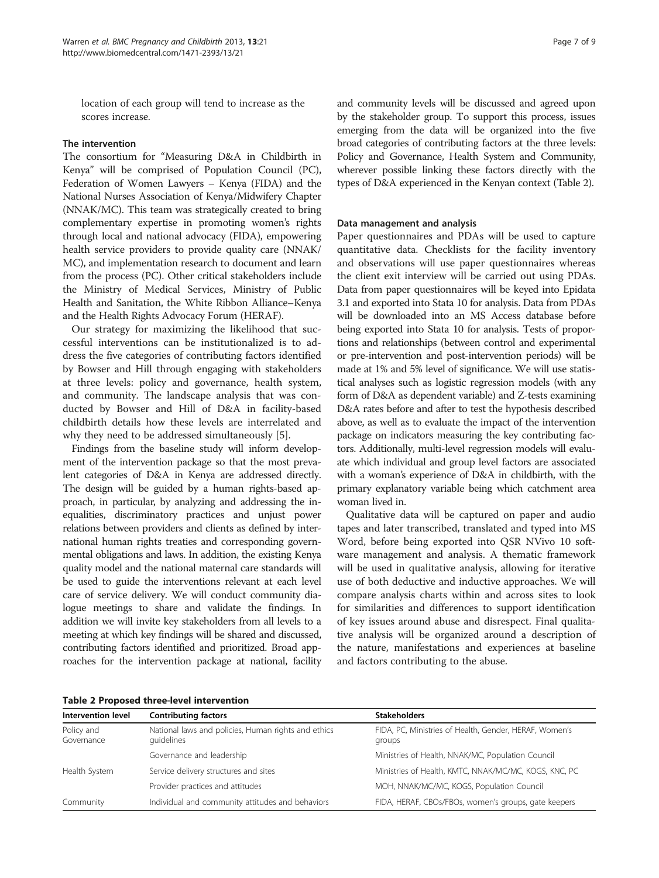location of each group will tend to increase as the scores increase.

### The intervention

The consortium for "Measuring D&A in Childbirth in Kenya" will be comprised of Population Council (PC), Federation of Women Lawyers – Kenya (FIDA) and the National Nurses Association of Kenya/Midwifery Chapter (NNAK/MC). This team was strategically created to bring complementary expertise in promoting women's rights through local and national advocacy (FIDA), empowering health service providers to provide quality care (NNAK/ MC), and implementation research to document and learn from the process (PC). Other critical stakeholders include the Ministry of Medical Services, Ministry of Public Health and Sanitation, the White Ribbon Alliance–Kenya and the Health Rights Advocacy Forum (HERAF).

Our strategy for maximizing the likelihood that successful interventions can be institutionalized is to address the five categories of contributing factors identified by Bowser and Hill through engaging with stakeholders at three levels: policy and governance, health system, and community. The landscape analysis that was conducted by Bowser and Hill of D&A in facility-based childbirth details how these levels are interrelated and why they need to be addressed simultaneously [[5](#page-8-0)].

Findings from the baseline study will inform development of the intervention package so that the most prevalent categories of D&A in Kenya are addressed directly. The design will be guided by a human rights-based approach, in particular, by analyzing and addressing the inequalities, discriminatory practices and unjust power relations between providers and clients as defined by international human rights treaties and corresponding governmental obligations and laws. In addition, the existing Kenya quality model and the national maternal care standards will be used to guide the interventions relevant at each level care of service delivery. We will conduct community dialogue meetings to share and validate the findings. In addition we will invite key stakeholders from all levels to a meeting at which key findings will be shared and discussed, contributing factors identified and prioritized. Broad approaches for the intervention package at national, facility

|  |  |  | Table 2 Proposed three-level intervention |
|--|--|--|-------------------------------------------|
|--|--|--|-------------------------------------------|

and community levels will be discussed and agreed upon by the stakeholder group. To support this process, issues emerging from the data will be organized into the five broad categories of contributing factors at the three levels: Policy and Governance, Health System and Community, wherever possible linking these factors directly with the types of D&A experienced in the Kenyan context (Table 2).

#### Data management and analysis

Paper questionnaires and PDAs will be used to capture quantitative data. Checklists for the facility inventory and observations will use paper questionnaires whereas the client exit interview will be carried out using PDAs. Data from paper questionnaires will be keyed into Epidata 3.1 and exported into Stata 10 for analysis. Data from PDAs will be downloaded into an MS Access database before being exported into Stata 10 for analysis. Tests of proportions and relationships (between control and experimental or pre-intervention and post-intervention periods) will be made at 1% and 5% level of significance. We will use statistical analyses such as logistic regression models (with any form of D&A as dependent variable) and Z-tests examining D&A rates before and after to test the hypothesis described above, as well as to evaluate the impact of the intervention package on indicators measuring the key contributing factors. Additionally, multi-level regression models will evaluate which individual and group level factors are associated with a woman's experience of D&A in childbirth, with the primary explanatory variable being which catchment area woman lived in.

Qualitative data will be captured on paper and audio tapes and later transcribed, translated and typed into MS Word, before being exported into QSR NVivo 10 software management and analysis. A thematic framework will be used in qualitative analysis, allowing for iterative use of both deductive and inductive approaches. We will compare analysis charts within and across sites to look for similarities and differences to support identification of key issues around abuse and disrespect. Final qualitative analysis will be organized around a description of the nature, manifestations and experiences at baseline and factors contributing to the abuse.

| <b>Intervention level</b> | <b>Contributing factors</b>                                       | <b>Stakeholders</b>                                              |
|---------------------------|-------------------------------------------------------------------|------------------------------------------------------------------|
| Policy and<br>Governance  | National laws and policies, Human rights and ethics<br>quidelines | FIDA, PC, Ministries of Health, Gender, HERAF, Women's<br>groups |
|                           | Governance and leadership                                         | Ministries of Health, NNAK/MC, Population Council                |
| Health System             | Service delivery structures and sites                             | Ministries of Health, KMTC, NNAK/MC/MC, KOGS, KNC, PC            |
|                           | Provider practices and attitudes                                  | MOH, NNAK/MC/MC, KOGS, Population Council                        |
| Community                 | Individual and community attitudes and behaviors                  | FIDA, HERAF, CBOs/FBOs, women's groups, gate keepers             |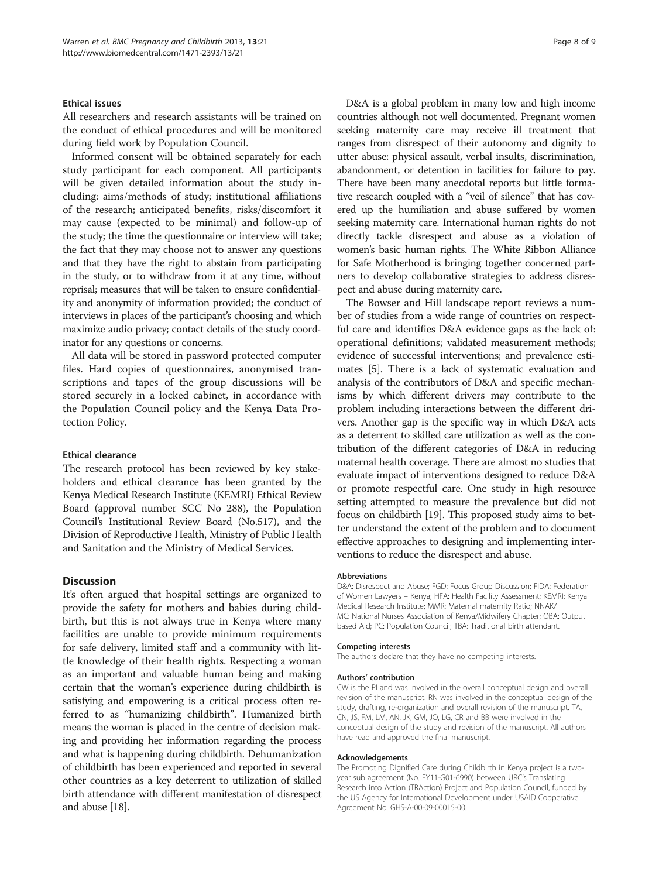#### Ethical issues

All researchers and research assistants will be trained on the conduct of ethical procedures and will be monitored during field work by Population Council.

Informed consent will be obtained separately for each study participant for each component. All participants will be given detailed information about the study including: aims/methods of study; institutional affiliations of the research; anticipated benefits, risks/discomfort it may cause (expected to be minimal) and follow-up of the study; the time the questionnaire or interview will take; the fact that they may choose not to answer any questions and that they have the right to abstain from participating in the study, or to withdraw from it at any time, without reprisal; measures that will be taken to ensure confidentiality and anonymity of information provided; the conduct of interviews in places of the participant's choosing and which maximize audio privacy; contact details of the study coordinator for any questions or concerns.

All data will be stored in password protected computer files. Hard copies of questionnaires, anonymised transcriptions and tapes of the group discussions will be stored securely in a locked cabinet, in accordance with the Population Council policy and the Kenya Data Protection Policy.

#### Ethical clearance

The research protocol has been reviewed by key stakeholders and ethical clearance has been granted by the Kenya Medical Research Institute (KEMRI) Ethical Review Board (approval number SCC No 288), the Population Council's Institutional Review Board (No.517), and the Division of Reproductive Health, Ministry of Public Health and Sanitation and the Ministry of Medical Services.

#### **Discussion**

It's often argued that hospital settings are organized to provide the safety for mothers and babies during childbirth, but this is not always true in Kenya where many facilities are unable to provide minimum requirements for safe delivery, limited staff and a community with little knowledge of their health rights. Respecting a woman as an important and valuable human being and making certain that the woman's experience during childbirth is satisfying and empowering is a critical process often referred to as "humanizing childbirth". Humanized birth means the woman is placed in the centre of decision making and providing her information regarding the process and what is happening during childbirth. Dehumanization of childbirth has been experienced and reported in several other countries as a key deterrent to utilization of skilled birth attendance with different manifestation of disrespect and abuse [\[18\]](#page-8-0).

D&A is a global problem in many low and high income countries although not well documented. Pregnant women seeking maternity care may receive ill treatment that ranges from disrespect of their autonomy and dignity to utter abuse: physical assault, verbal insults, discrimination, abandonment, or detention in facilities for failure to pay. There have been many anecdotal reports but little formative research coupled with a "veil of silence" that has covered up the humiliation and abuse suffered by women seeking maternity care. International human rights do not directly tackle disrespect and abuse as a violation of women's basic human rights. The White Ribbon Alliance for Safe Motherhood is bringing together concerned partners to develop collaborative strategies to address disrespect and abuse during maternity care.

The Bowser and Hill landscape report reviews a number of studies from a wide range of countries on respectful care and identifies D&A evidence gaps as the lack of: operational definitions; validated measurement methods; evidence of successful interventions; and prevalence estimates [\[5\]](#page-8-0). There is a lack of systematic evaluation and analysis of the contributors of D&A and specific mechanisms by which different drivers may contribute to the problem including interactions between the different drivers. Another gap is the specific way in which D&A acts as a deterrent to skilled care utilization as well as the contribution of the different categories of D&A in reducing maternal health coverage. There are almost no studies that evaluate impact of interventions designed to reduce D&A or promote respectful care. One study in high resource setting attempted to measure the prevalence but did not focus on childbirth [\[19\]](#page-8-0). This proposed study aims to better understand the extent of the problem and to document effective approaches to designing and implementing interventions to reduce the disrespect and abuse.

#### Abbreviations

D&A: Disrespect and Abuse; FGD: Focus Group Discussion; FIDA: Federation of Women Lawyers – Kenya; HFA: Health Facility Assessment; KEMRI: Kenya Medical Research Institute; MMR: Maternal maternity Ratio; NNAK/ MC: National Nurses Association of Kenya/Midwifery Chapter; OBA: Output based Aid; PC: Population Council; TBA: Traditional birth attendant.

#### Competing interests

The authors declare that they have no competing interests.

#### Authors' contribution

CW is the PI and was involved in the overall conceptual design and overall revision of the manuscript. RN was involved in the conceptual design of the study, drafting, re-organization and overall revision of the manuscript. TA, CN, JS, FM, LM, AN, JK, GM, JO, LG, CR and BB were involved in the conceptual design of the study and revision of the manuscript. All authors have read and approved the final manuscript.

#### Acknowledgements

The Promoting Dignified Care during Childbirth in Kenya project is a twoyear sub agreement (No. FY11-G01-6990) between URC's Translating Research into Action (TRAction) Project and Population Council, funded by the US Agency for International Development under USAID Cooperative Agreement No. GHS-A-00-09-00015-00.